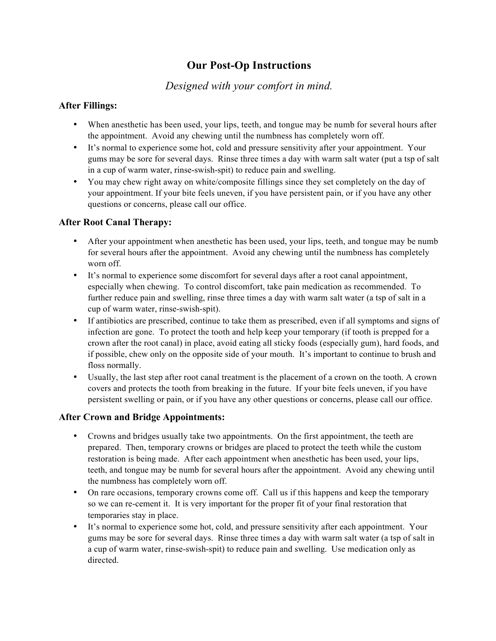# **Our Post-Op Instructions**

## *Designed with your comfort in mind.*

#### **After Fillings:**

- When anesthetic has been used, your lips, teeth, and tongue may be numb for several hours after the appointment. Avoid any chewing until the numbness has completely worn off.
- It's normal to experience some hot, cold and pressure sensitivity after your appointment. Your gums may be sore for several days. Rinse three times a day with warm salt water (put a tsp of salt in a cup of warm water, rinse-swish-spit) to reduce pain and swelling.
- You may chew right away on white/composite fillings since they set completely on the day of your appointment. If your bite feels uneven, if you have persistent pain, or if you have any other questions or concerns, please call our office.

#### **After Root Canal Therapy:**

- After your appointment when anesthetic has been used, your lips, teeth, and tongue may be numb for several hours after the appointment. Avoid any chewing until the numbness has completely worn off.
- It's normal to experience some discomfort for several days after a root canal appointment, especially when chewing. To control discomfort, take pain medication as recommended. To further reduce pain and swelling, rinse three times a day with warm salt water (a tsp of salt in a cup of warm water, rinse-swish-spit).
- If antibiotics are prescribed, continue to take them as prescribed, even if all symptoms and signs of infection are gone. To protect the tooth and help keep your temporary (if tooth is prepped for a crown after the root canal) in place, avoid eating all sticky foods (especially gum), hard foods, and if possible, chew only on the opposite side of your mouth. It's important to continue to brush and floss normally.
- Usually, the last step after root canal treatment is the placement of a crown on the tooth. A crown covers and protects the tooth from breaking in the future. If your bite feels uneven, if you have persistent swelling or pain, or if you have any other questions or concerns, please call our office.

#### **After Crown and Bridge Appointments:**

- Crowns and bridges usually take two appointments. On the first appointment, the teeth are prepared. Then, temporary crowns or bridges are placed to protect the teeth while the custom restoration is being made. After each appointment when anesthetic has been used, your lips, teeth, and tongue may be numb for several hours after the appointment. Avoid any chewing until the numbness has completely worn off.
- On rare occasions, temporary crowns come off. Call us if this happens and keep the temporary so we can re-cement it. It is very important for the proper fit of your final restoration that temporaries stay in place.
- It's normal to experience some hot, cold, and pressure sensitivity after each appointment. Your gums may be sore for several days. Rinse three times a day with warm salt water (a tsp of salt in a cup of warm water, rinse-swish-spit) to reduce pain and swelling. Use medication only as directed.